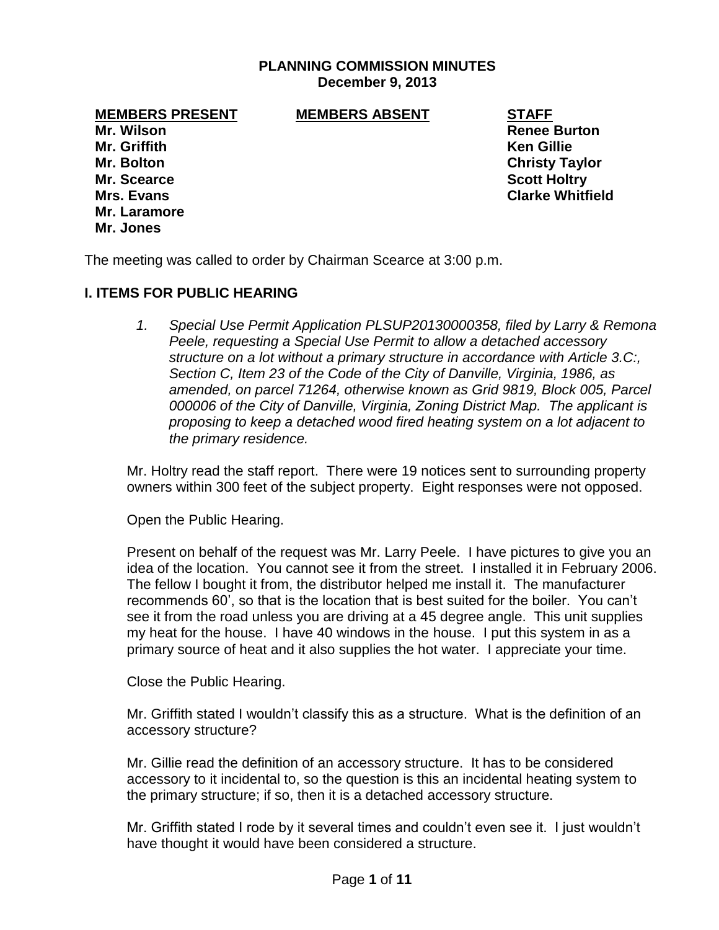# **PLANNING COMMISSION MINUTES December 9, 2013**

**MEMBERS PRESENT MEMBERS ABSENT STAFF**

**Mr. Griffith Ken Gillie Mr. Bolton Christy Taylor Mr. Scearce Scott Holtry Mr. Laramore Mr. Jones**

**Mr. Wilson Renee Burton Mrs. Evans Clarke Whitfield**

The meeting was called to order by Chairman Scearce at 3:00 p.m.

### **I. ITEMS FOR PUBLIC HEARING**

*1. Special Use Permit Application PLSUP20130000358, filed by Larry & Remona Peele, requesting a Special Use Permit to allow a detached accessory structure on a lot without a primary structure in accordance with Article 3.C:, Section C, Item 23 of the Code of the City of Danville, Virginia, 1986, as amended, on parcel 71264, otherwise known as Grid 9819, Block 005, Parcel 000006 of the City of Danville, Virginia, Zoning District Map. The applicant is proposing to keep a detached wood fired heating system on a lot adjacent to the primary residence.*

Mr. Holtry read the staff report. There were 19 notices sent to surrounding property owners within 300 feet of the subject property. Eight responses were not opposed.

Open the Public Hearing.

Present on behalf of the request was Mr. Larry Peele. I have pictures to give you an idea of the location. You cannot see it from the street. I installed it in February 2006. The fellow I bought it from, the distributor helped me install it. The manufacturer recommends 60', so that is the location that is best suited for the boiler. You can't see it from the road unless you are driving at a 45 degree angle. This unit supplies my heat for the house. I have 40 windows in the house. I put this system in as a primary source of heat and it also supplies the hot water. I appreciate your time.

Close the Public Hearing.

Mr. Griffith stated I wouldn't classify this as a structure. What is the definition of an accessory structure?

Mr. Gillie read the definition of an accessory structure. It has to be considered accessory to it incidental to, so the question is this an incidental heating system to the primary structure; if so, then it is a detached accessory structure.

Mr. Griffith stated I rode by it several times and couldn't even see it. I just wouldn't have thought it would have been considered a structure.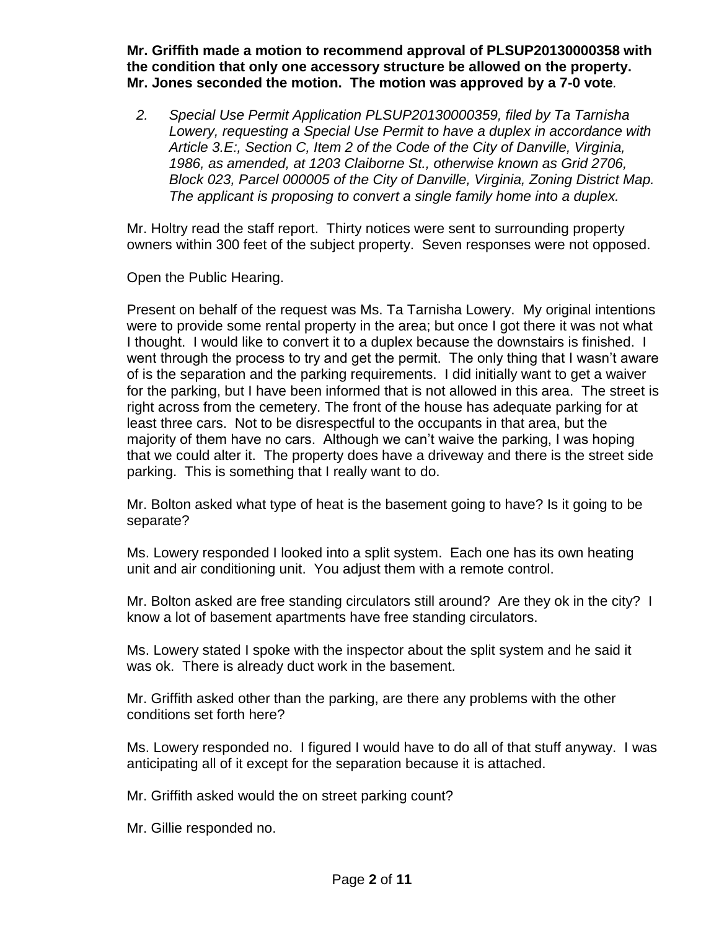**Mr. Griffith made a motion to recommend approval of PLSUP20130000358 with the condition that only one accessory structure be allowed on the property. Mr. Jones seconded the motion. The motion was approved by a 7-0 vote***.*

*2. Special Use Permit Application PLSUP20130000359, filed by Ta Tarnisha Lowery, requesting a Special Use Permit to have a duplex in accordance with Article 3.E:, Section C, Item 2 of the Code of the City of Danville, Virginia, 1986, as amended, at 1203 Claiborne St., otherwise known as Grid 2706, Block 023, Parcel 000005 of the City of Danville, Virginia, Zoning District Map. The applicant is proposing to convert a single family home into a duplex.*

Mr. Holtry read the staff report. Thirty notices were sent to surrounding property owners within 300 feet of the subject property. Seven responses were not opposed.

Open the Public Hearing.

Present on behalf of the request was Ms. Ta Tarnisha Lowery. My original intentions were to provide some rental property in the area; but once I got there it was not what I thought. I would like to convert it to a duplex because the downstairs is finished. I went through the process to try and get the permit. The only thing that I wasn't aware of is the separation and the parking requirements. I did initially want to get a waiver for the parking, but I have been informed that is not allowed in this area. The street is right across from the cemetery. The front of the house has adequate parking for at least three cars. Not to be disrespectful to the occupants in that area, but the majority of them have no cars. Although we can't waive the parking, I was hoping that we could alter it. The property does have a driveway and there is the street side parking. This is something that I really want to do.

Mr. Bolton asked what type of heat is the basement going to have? Is it going to be separate?

Ms. Lowery responded I looked into a split system. Each one has its own heating unit and air conditioning unit. You adjust them with a remote control.

Mr. Bolton asked are free standing circulators still around? Are they ok in the city? I know a lot of basement apartments have free standing circulators.

Ms. Lowery stated I spoke with the inspector about the split system and he said it was ok. There is already duct work in the basement.

Mr. Griffith asked other than the parking, are there any problems with the other conditions set forth here?

Ms. Lowery responded no. I figured I would have to do all of that stuff anyway. I was anticipating all of it except for the separation because it is attached.

Mr. Griffith asked would the on street parking count?

Mr. Gillie responded no.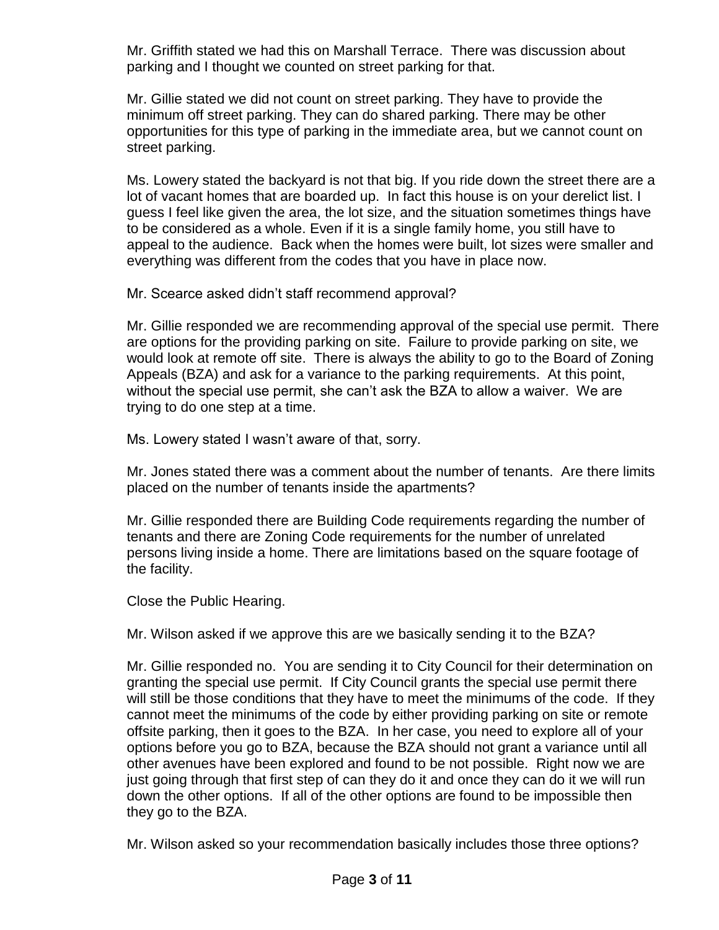Mr. Griffith stated we had this on Marshall Terrace. There was discussion about parking and I thought we counted on street parking for that.

Mr. Gillie stated we did not count on street parking. They have to provide the minimum off street parking. They can do shared parking. There may be other opportunities for this type of parking in the immediate area, but we cannot count on street parking.

Ms. Lowery stated the backyard is not that big. If you ride down the street there are a lot of vacant homes that are boarded up. In fact this house is on your derelict list. I guess I feel like given the area, the lot size, and the situation sometimes things have to be considered as a whole. Even if it is a single family home, you still have to appeal to the audience. Back when the homes were built, lot sizes were smaller and everything was different from the codes that you have in place now.

Mr. Scearce asked didn't staff recommend approval?

Mr. Gillie responded we are recommending approval of the special use permit. There are options for the providing parking on site. Failure to provide parking on site, we would look at remote off site. There is always the ability to go to the Board of Zoning Appeals (BZA) and ask for a variance to the parking requirements. At this point, without the special use permit, she can't ask the BZA to allow a waiver. We are trying to do one step at a time.

Ms. Lowery stated I wasn't aware of that, sorry.

Mr. Jones stated there was a comment about the number of tenants. Are there limits placed on the number of tenants inside the apartments?

Mr. Gillie responded there are Building Code requirements regarding the number of tenants and there are Zoning Code requirements for the number of unrelated persons living inside a home. There are limitations based on the square footage of the facility.

Close the Public Hearing.

Mr. Wilson asked if we approve this are we basically sending it to the BZA?

Mr. Gillie responded no. You are sending it to City Council for their determination on granting the special use permit. If City Council grants the special use permit there will still be those conditions that they have to meet the minimums of the code. If they cannot meet the minimums of the code by either providing parking on site or remote offsite parking, then it goes to the BZA. In her case, you need to explore all of your options before you go to BZA, because the BZA should not grant a variance until all other avenues have been explored and found to be not possible. Right now we are just going through that first step of can they do it and once they can do it we will run down the other options. If all of the other options are found to be impossible then they go to the BZA.

Mr. Wilson asked so your recommendation basically includes those three options?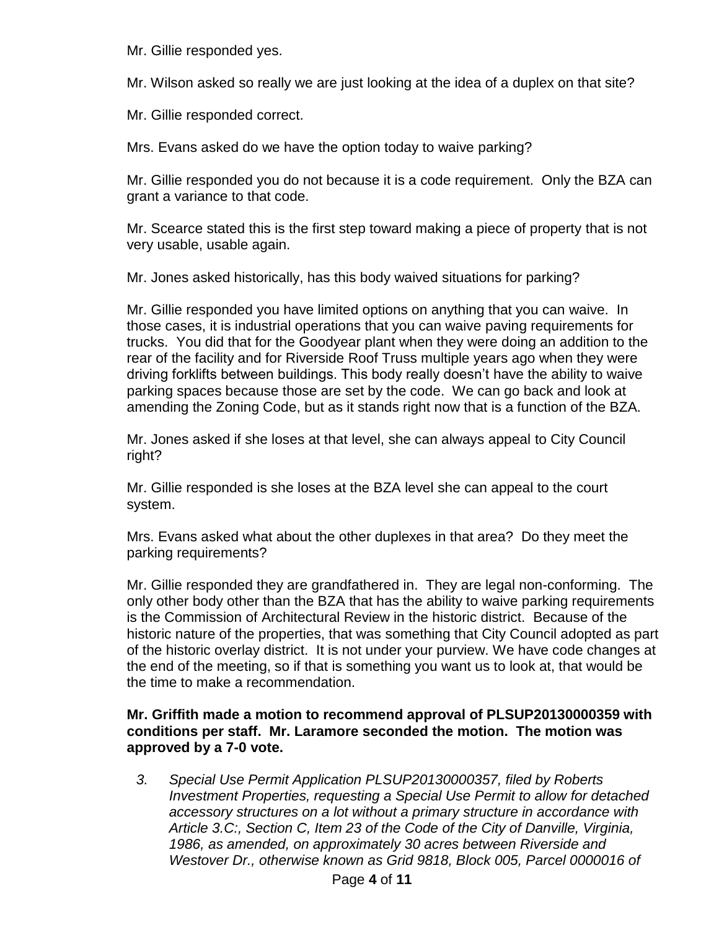Mr. Gillie responded yes.

Mr. Wilson asked so really we are just looking at the idea of a duplex on that site?

Mr. Gillie responded correct.

Mrs. Evans asked do we have the option today to waive parking?

Mr. Gillie responded you do not because it is a code requirement. Only the BZA can grant a variance to that code.

Mr. Scearce stated this is the first step toward making a piece of property that is not very usable, usable again.

Mr. Jones asked historically, has this body waived situations for parking?

Mr. Gillie responded you have limited options on anything that you can waive. In those cases, it is industrial operations that you can waive paving requirements for trucks. You did that for the Goodyear plant when they were doing an addition to the rear of the facility and for Riverside Roof Truss multiple years ago when they were driving forklifts between buildings. This body really doesn't have the ability to waive parking spaces because those are set by the code. We can go back and look at amending the Zoning Code, but as it stands right now that is a function of the BZA.

Mr. Jones asked if she loses at that level, she can always appeal to City Council right?

Mr. Gillie responded is she loses at the BZA level she can appeal to the court system.

Mrs. Evans asked what about the other duplexes in that area? Do they meet the parking requirements?

Mr. Gillie responded they are grandfathered in. They are legal non-conforming. The only other body other than the BZA that has the ability to waive parking requirements is the Commission of Architectural Review in the historic district. Because of the historic nature of the properties, that was something that City Council adopted as part of the historic overlay district. It is not under your purview. We have code changes at the end of the meeting, so if that is something you want us to look at, that would be the time to make a recommendation.

# **Mr. Griffith made a motion to recommend approval of PLSUP20130000359 with conditions per staff. Mr. Laramore seconded the motion. The motion was approved by a 7-0 vote.**

*3. Special Use Permit Application PLSUP20130000357, filed by Roberts Investment Properties, requesting a Special Use Permit to allow for detached accessory structures on a lot without a primary structure in accordance with Article 3.C:, Section C, Item 23 of the Code of the City of Danville, Virginia, 1986, as amended, on approximately 30 acres between Riverside and Westover Dr., otherwise known as Grid 9818, Block 005, Parcel 0000016 of*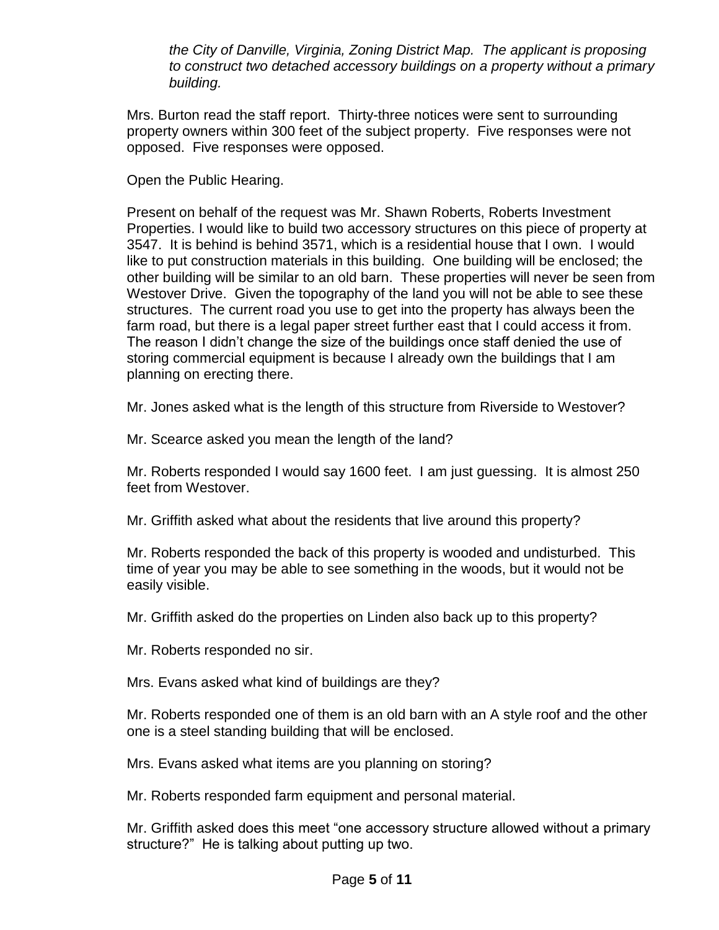*the City of Danville, Virginia, Zoning District Map. The applicant is proposing to construct two detached accessory buildings on a property without a primary building.*

Mrs. Burton read the staff report. Thirty-three notices were sent to surrounding property owners within 300 feet of the subject property. Five responses were not opposed. Five responses were opposed.

Open the Public Hearing.

Present on behalf of the request was Mr. Shawn Roberts, Roberts Investment Properties. I would like to build two accessory structures on this piece of property at 3547. It is behind is behind 3571, which is a residential house that I own. I would like to put construction materials in this building. One building will be enclosed; the other building will be similar to an old barn. These properties will never be seen from Westover Drive. Given the topography of the land you will not be able to see these structures. The current road you use to get into the property has always been the farm road, but there is a legal paper street further east that I could access it from. The reason I didn't change the size of the buildings once staff denied the use of storing commercial equipment is because I already own the buildings that I am planning on erecting there.

Mr. Jones asked what is the length of this structure from Riverside to Westover?

Mr. Scearce asked you mean the length of the land?

Mr. Roberts responded I would say 1600 feet. I am just guessing. It is almost 250 feet from Westover.

Mr. Griffith asked what about the residents that live around this property?

Mr. Roberts responded the back of this property is wooded and undisturbed. This time of year you may be able to see something in the woods, but it would not be easily visible.

Mr. Griffith asked do the properties on Linden also back up to this property?

Mr. Roberts responded no sir.

Mrs. Evans asked what kind of buildings are they?

Mr. Roberts responded one of them is an old barn with an A style roof and the other one is a steel standing building that will be enclosed.

Mrs. Evans asked what items are you planning on storing?

Mr. Roberts responded farm equipment and personal material.

Mr. Griffith asked does this meet "one accessory structure allowed without a primary structure?" He is talking about putting up two.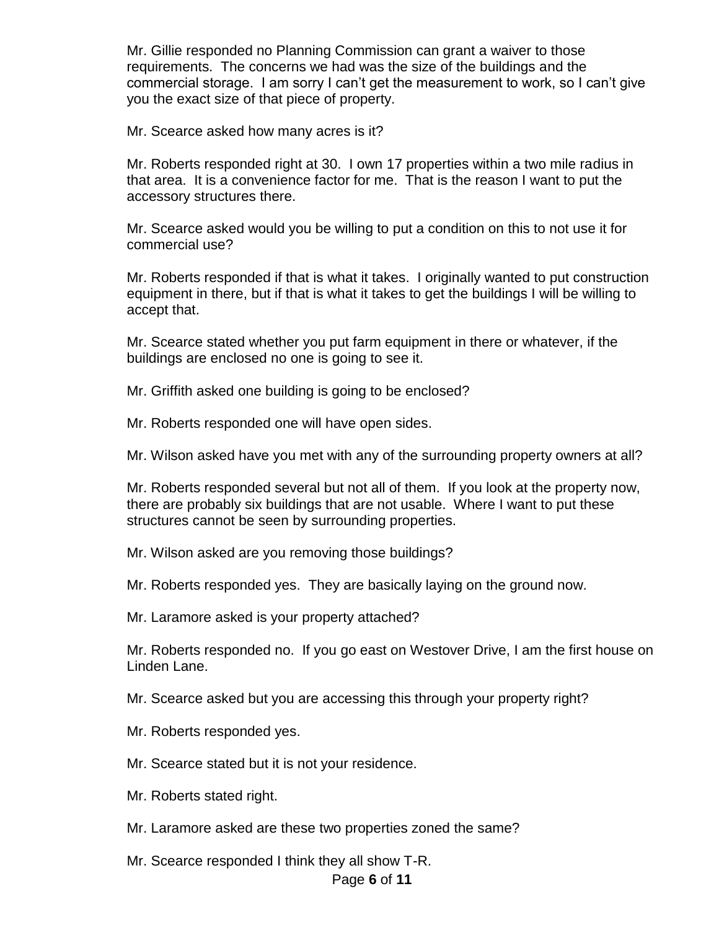Mr. Gillie responded no Planning Commission can grant a waiver to those requirements. The concerns we had was the size of the buildings and the commercial storage. I am sorry I can't get the measurement to work, so I can't give you the exact size of that piece of property.

Mr. Scearce asked how many acres is it?

Mr. Roberts responded right at 30. I own 17 properties within a two mile radius in that area. It is a convenience factor for me. That is the reason I want to put the accessory structures there.

Mr. Scearce asked would you be willing to put a condition on this to not use it for commercial use?

Mr. Roberts responded if that is what it takes. I originally wanted to put construction equipment in there, but if that is what it takes to get the buildings I will be willing to accept that.

Mr. Scearce stated whether you put farm equipment in there or whatever, if the buildings are enclosed no one is going to see it.

Mr. Griffith asked one building is going to be enclosed?

Mr. Roberts responded one will have open sides.

Mr. Wilson asked have you met with any of the surrounding property owners at all?

Mr. Roberts responded several but not all of them. If you look at the property now, there are probably six buildings that are not usable. Where I want to put these structures cannot be seen by surrounding properties.

Mr. Wilson asked are you removing those buildings?

Mr. Roberts responded yes. They are basically laying on the ground now.

Mr. Laramore asked is your property attached?

Mr. Roberts responded no. If you go east on Westover Drive, I am the first house on Linden Lane.

Mr. Scearce asked but you are accessing this through your property right?

Mr. Roberts responded yes.

Mr. Scearce stated but it is not your residence.

Mr. Roberts stated right.

Mr. Laramore asked are these two properties zoned the same?

Mr. Scearce responded I think they all show T-R.

### Page **6** of **11**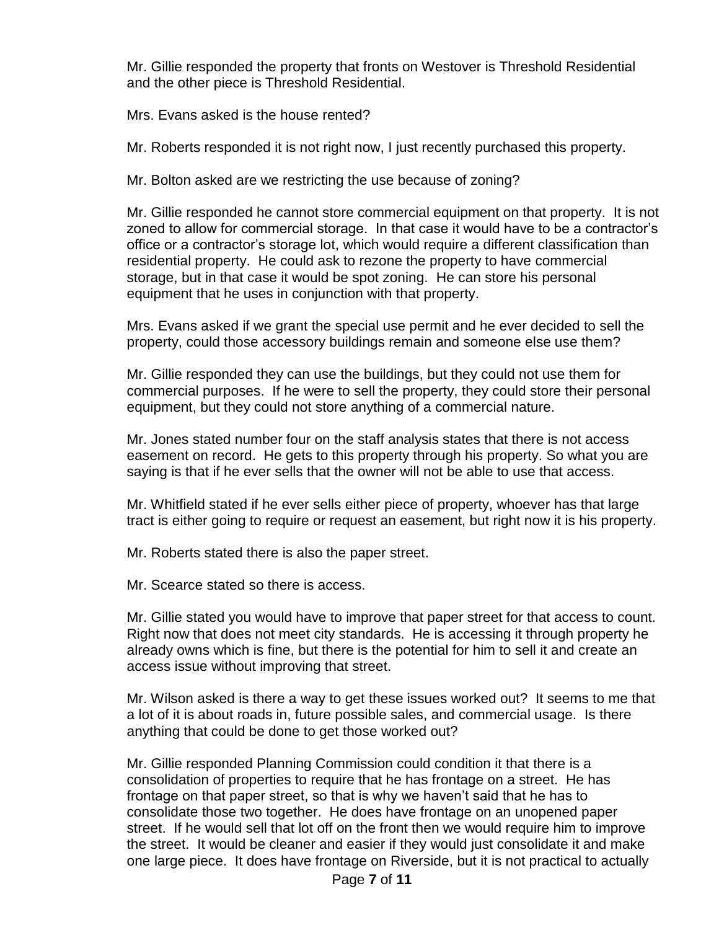Mr. Gillie responded the property that fronts on Westover is Threshold Residential and the other piece is Threshold Residential.

Mrs. Evans asked is the house rented?

Mr. Roberts responded it is not right now, I just recently purchased this property.

Mr. Bolton asked are we restricting the use because of zoning?

Mr. Gillie responded he cannot store commercial equipment on that property. It is not zoned to allow for commercial storage. In that case it would have to be a contractor's office or a contractor's storage lot, which would require a different classification than residential property. He could ask to rezone the property to have commercial storage, but in that case it would be spot zoning. He can store his personal equipment that he uses in conjunction with that property.

Mrs. Evans asked if we grant the special use permit and he ever decided to sell the property, could those accessory buildings remain and someone else use them?

Mr. Gillie responded they can use the buildings, but they could not use them for commercial purposes. If he were to sell the property, they could store their personal equipment, but they could not store anything of a commercial nature.

Mr. Jones stated number four on the staff analysis states that there is not access easement on record. He gets to this property through his property. So what you are saying is that if he ever sells that the owner will not be able to use that access.

Mr. Whitfield stated if he ever sells either piece of property, whoever has that large tract is either going to require or request an easement, but right now it is his property.

Mr. Roberts stated there is also the paper street.

Mr. Scearce stated so there is access.

Mr. Gillie stated you would have to improve that paper street for that access to count. Right now that does not meet city standards. He is accessing it through property he already owns which is fine, but there is the potential for him to sell it and create an access issue without improving that street.

Mr. Wilson asked is there a way to get these issues worked out? It seems to me that a lot of it is about roads in, future possible sales, and commercial usage. Is there anything that could be done to get those worked out?

Mr. Gillie responded Planning Commission could condition it that there is a consolidation of properties to require that he has frontage on a street. He has frontage on that paper street, so that is why we haven't said that he has to consolidate those two together. He does have frontage on an unopened paper street. If he would sell that lot off on the front then we would require him to improve the street. It would be cleaner and easier if they would just consolidate it and make one large piece. It does have frontage on Riverside, but it is not practical to actually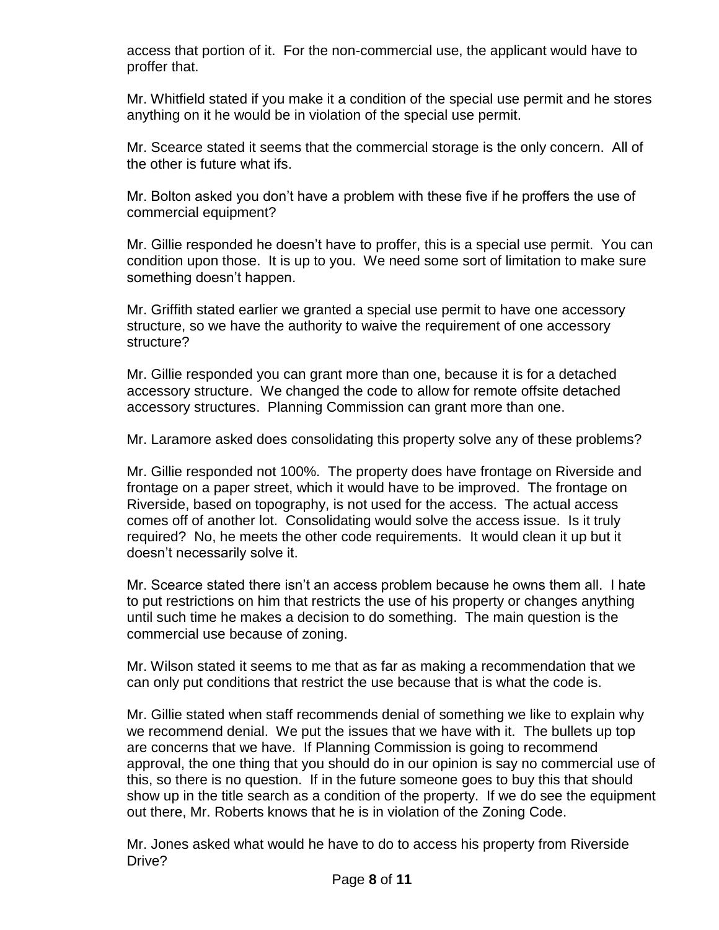access that portion of it. For the non-commercial use, the applicant would have to proffer that.

Mr. Whitfield stated if you make it a condition of the special use permit and he stores anything on it he would be in violation of the special use permit.

Mr. Scearce stated it seems that the commercial storage is the only concern. All of the other is future what ifs.

Mr. Bolton asked you don't have a problem with these five if he proffers the use of commercial equipment?

Mr. Gillie responded he doesn't have to proffer, this is a special use permit. You can condition upon those. It is up to you. We need some sort of limitation to make sure something doesn't happen.

Mr. Griffith stated earlier we granted a special use permit to have one accessory structure, so we have the authority to waive the requirement of one accessory structure?

Mr. Gillie responded you can grant more than one, because it is for a detached accessory structure. We changed the code to allow for remote offsite detached accessory structures. Planning Commission can grant more than one.

Mr. Laramore asked does consolidating this property solve any of these problems?

Mr. Gillie responded not 100%. The property does have frontage on Riverside and frontage on a paper street, which it would have to be improved. The frontage on Riverside, based on topography, is not used for the access. The actual access comes off of another lot. Consolidating would solve the access issue. Is it truly required? No, he meets the other code requirements. It would clean it up but it doesn't necessarily solve it.

Mr. Scearce stated there isn't an access problem because he owns them all. I hate to put restrictions on him that restricts the use of his property or changes anything until such time he makes a decision to do something. The main question is the commercial use because of zoning.

Mr. Wilson stated it seems to me that as far as making a recommendation that we can only put conditions that restrict the use because that is what the code is.

Mr. Gillie stated when staff recommends denial of something we like to explain why we recommend denial. We put the issues that we have with it. The bullets up top are concerns that we have. If Planning Commission is going to recommend approval, the one thing that you should do in our opinion is say no commercial use of this, so there is no question. If in the future someone goes to buy this that should show up in the title search as a condition of the property. If we do see the equipment out there, Mr. Roberts knows that he is in violation of the Zoning Code.

Mr. Jones asked what would he have to do to access his property from Riverside Drive?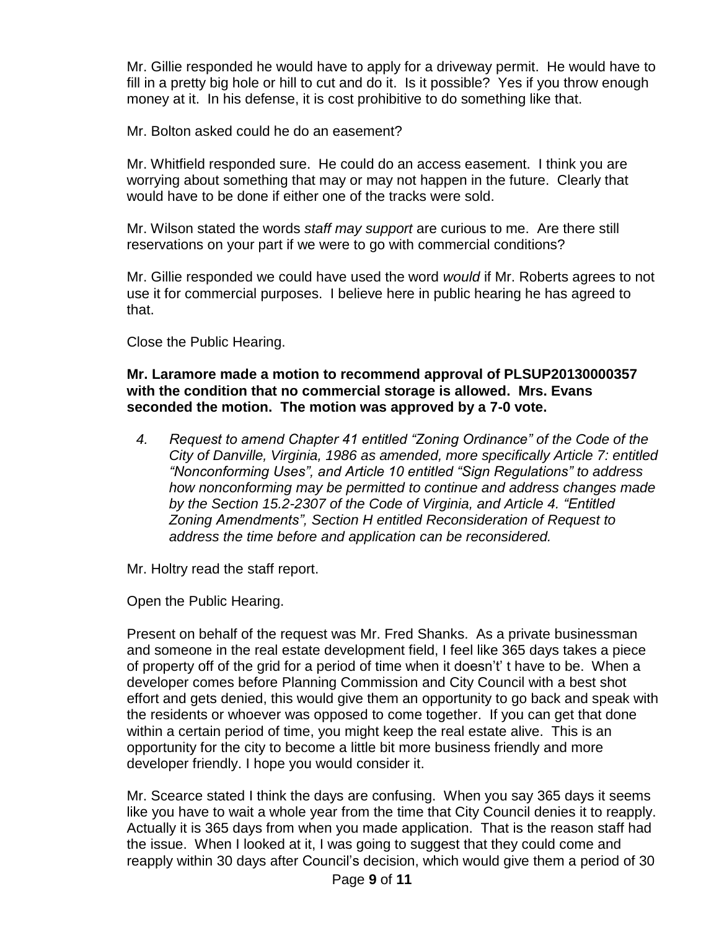Mr. Gillie responded he would have to apply for a driveway permit. He would have to fill in a pretty big hole or hill to cut and do it. Is it possible? Yes if you throw enough money at it. In his defense, it is cost prohibitive to do something like that.

Mr. Bolton asked could he do an easement?

Mr. Whitfield responded sure. He could do an access easement. I think you are worrying about something that may or may not happen in the future. Clearly that would have to be done if either one of the tracks were sold.

Mr. Wilson stated the words *staff may support* are curious to me. Are there still reservations on your part if we were to go with commercial conditions?

Mr. Gillie responded we could have used the word *would* if Mr. Roberts agrees to not use it for commercial purposes. I believe here in public hearing he has agreed to that.

Close the Public Hearing.

**Mr. Laramore made a motion to recommend approval of PLSUP20130000357 with the condition that no commercial storage is allowed. Mrs. Evans seconded the motion. The motion was approved by a 7-0 vote.**

*4. Request to amend Chapter 41 entitled "Zoning Ordinance" of the Code of the City of Danville, Virginia, 1986 as amended, more specifically Article 7: entitled "Nonconforming Uses", and Article 10 entitled "Sign Regulations" to address how nonconforming may be permitted to continue and address changes made by the Section 15.2-2307 of the Code of Virginia, and Article 4. "Entitled Zoning Amendments", Section H entitled Reconsideration of Request to address the time before and application can be reconsidered.*

Mr. Holtry read the staff report.

Open the Public Hearing.

Present on behalf of the request was Mr. Fred Shanks. As a private businessman and someone in the real estate development field, I feel like 365 days takes a piece of property off of the grid for a period of time when it doesn't' t have to be. When a developer comes before Planning Commission and City Council with a best shot effort and gets denied, this would give them an opportunity to go back and speak with the residents or whoever was opposed to come together. If you can get that done within a certain period of time, you might keep the real estate alive. This is an opportunity for the city to become a little bit more business friendly and more developer friendly. I hope you would consider it.

Mr. Scearce stated I think the days are confusing. When you say 365 days it seems like you have to wait a whole year from the time that City Council denies it to reapply. Actually it is 365 days from when you made application. That is the reason staff had the issue. When I looked at it, I was going to suggest that they could come and reapply within 30 days after Council's decision, which would give them a period of 30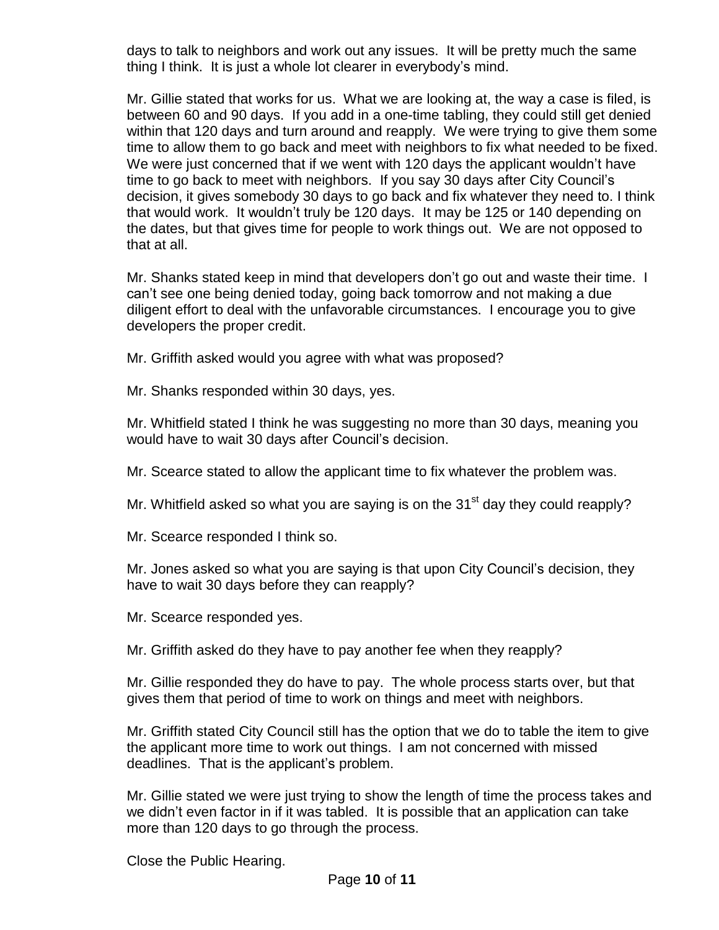days to talk to neighbors and work out any issues. It will be pretty much the same thing I think. It is just a whole lot clearer in everybody's mind.

Mr. Gillie stated that works for us. What we are looking at, the way a case is filed, is between 60 and 90 days. If you add in a one-time tabling, they could still get denied within that 120 days and turn around and reapply. We were trying to give them some time to allow them to go back and meet with neighbors to fix what needed to be fixed. We were just concerned that if we went with 120 days the applicant wouldn't have time to go back to meet with neighbors. If you say 30 days after City Council's decision, it gives somebody 30 days to go back and fix whatever they need to. I think that would work. It wouldn't truly be 120 days. It may be 125 or 140 depending on the dates, but that gives time for people to work things out. We are not opposed to that at all.

Mr. Shanks stated keep in mind that developers don't go out and waste their time. I can't see one being denied today, going back tomorrow and not making a due diligent effort to deal with the unfavorable circumstances. I encourage you to give developers the proper credit.

Mr. Griffith asked would you agree with what was proposed?

Mr. Shanks responded within 30 days, yes.

Mr. Whitfield stated I think he was suggesting no more than 30 days, meaning you would have to wait 30 days after Council's decision.

Mr. Scearce stated to allow the applicant time to fix whatever the problem was.

Mr. Whitfield asked so what you are saying is on the  $31<sup>st</sup>$  day they could reapply?

Mr. Scearce responded I think so.

Mr. Jones asked so what you are saying is that upon City Council's decision, they have to wait 30 days before they can reapply?

Mr. Scearce responded yes.

Mr. Griffith asked do they have to pay another fee when they reapply?

Mr. Gillie responded they do have to pay. The whole process starts over, but that gives them that period of time to work on things and meet with neighbors.

Mr. Griffith stated City Council still has the option that we do to table the item to give the applicant more time to work out things. I am not concerned with missed deadlines. That is the applicant's problem.

Mr. Gillie stated we were just trying to show the length of time the process takes and we didn't even factor in if it was tabled. It is possible that an application can take more than 120 days to go through the process.

Close the Public Hearing.